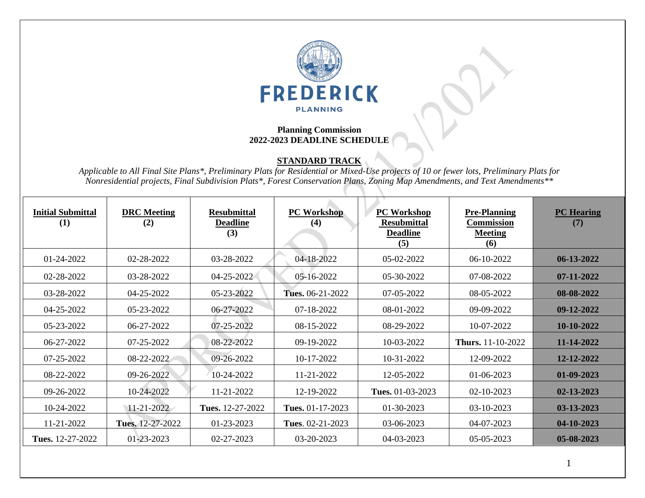

## **Planning Commission 2022-2023 DEADLINE SCHEDULE**

## **STANDARD TRACK**

*Applicable to All Final Site Plans\*, Preliminary Plats for Residential or Mixed-Use projects of 10 or fewer lots, Preliminary Plats for Nonresidential projects, Final Subdivision Plats\*, Forest Conservation Plans, Zoning Map Amendments, and Text Amendments\*\**

| <b>Initial Submittal</b><br>(1) | <b>DRC</b> Meeting<br>(2) | <b>Resubmittal</b><br><b>Deadline</b><br>(3) | <b>PC Workshop</b><br>(4) | <b>PC Workshop</b><br><b>Resubmittal</b><br><b>Deadline</b><br>(5) | <b>Pre-Planning</b><br><b>Commission</b><br><b>Meeting</b><br>(6) | <b>PC Hearing</b><br>(7) |
|---------------------------------|---------------------------|----------------------------------------------|---------------------------|--------------------------------------------------------------------|-------------------------------------------------------------------|--------------------------|
| 01-24-2022                      | 02-28-2022                | 03-28-2022                                   | 04-18-2022                | 05-02-2022                                                         | 06-10-2022                                                        | $06-13-2022$             |
| 02-28-2022                      | 03-28-2022                | 04-25-2022                                   | 05-16-2022                | 05-30-2022                                                         | 07-08-2022                                                        | 07-11-2022               |
| 03-28-2022                      | 04-25-2022                | 05-23-2022                                   | Tues. 06-21-2022          | 07-05-2022                                                         | 08-05-2022                                                        | 08-08-2022               |
| 04-25-2022                      | 05-23-2022                | 06-27-2022                                   | 07-18-2022                | 08-01-2022                                                         | 09-09-2022                                                        | 09-12-2022               |
| 05-23-2022                      | 06-27-2022                | 07-25-2022                                   | 08-15-2022                | 08-29-2022                                                         | 10-07-2022                                                        | 10-10-2022               |
| 06-27-2022                      | 07-25-2022                | 08-22-2022                                   | 09-19-2022                | 10-03-2022                                                         | <b>Thurs.</b> 11-10-2022                                          | 11-14-2022               |
| 07-25-2022                      | 08-22-2022                | 09-26-2022                                   | 10-17-2022                | 10-31-2022                                                         | 12-09-2022                                                        | 12-12-2022               |
| 08-22-2022                      | 09-26-2022                | 10-24-2022                                   | 11-21-2022                | 12-05-2022                                                         | 01-06-2023                                                        | 01-09-2023               |
| 09-26-2022                      | 10-24-2022                | 11-21-2022                                   | 12-19-2022                | Tues. 01-03-2023                                                   | 02-10-2023                                                        | 02-13-2023               |
| 10-24-2022                      | $11 - 21 - 2022$          | Tues. 12-27-2022                             | Tues. 01-17-2023          | 01-30-2023                                                         | 03-10-2023                                                        | 03-13-2023               |
| 11-21-2022                      | Tues. 12-27-2022          | 01-23-2023                                   | Tues. $02-21-2023$        | 03-06-2023                                                         | 04-07-2023                                                        | 04-10-2023               |
| Tues. 12-27-2022                | 01-23-2023                | 02-27-2023                                   | 03-20-2023                | 04-03-2023                                                         | 05-05-2023                                                        | 05-08-2023               |